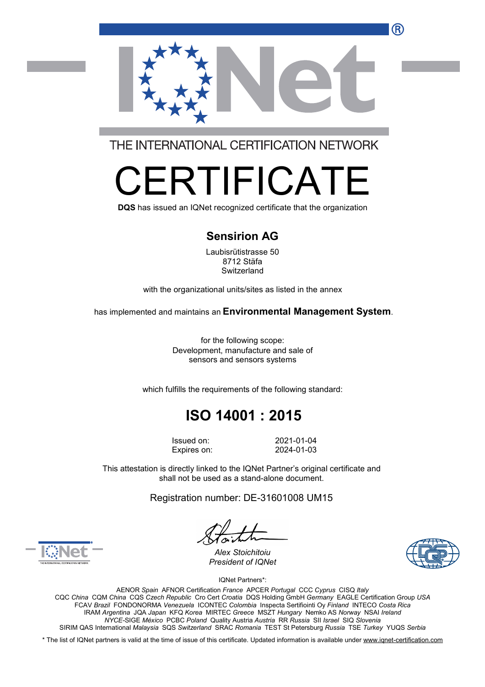R



THE INTERNATIONAL CERTIFICATION NETWORK

# RTIFICA

**DQS** has issued an IQNet recognized certificate that the organization

#### **Sensirion AG**

Laubisrütistrasse 50 8712 Stäfa **Switzerland** 

with the organizational units/sites as listed in the annex

has implemented and maintains an **Environmental Management System**.

for the following scope: Development, manufacture and sale of sensors and sensors systems

which fulfills the requirements of the following standard:

## **ISO 14001 : 2015**

Issued on: 2021-01-04 Expires on: 2024-01-03

This attestation is directly linked to the IQNet Partner's original certificate and shall not be used as a stand-alone document.

Registration number: DE-31601008 UM15





*Alex Stoichitoiu President of IQNet*

IQNet Partners\*:

AENOR *Spain* AFNOR Certification *France* APCER *Portugal* CCC *Cyprus* CISQ *Italy* CQC *China* CQM *China* CQS *Czech Republic* Cro Cert *Croatia* DQS Holding GmbH *Germany* EAGLE Certification Group *USA* FCAV *Brazil* FONDONORMA *Venezuela* ICONTEC *Colombia* Inspecta Sertifiointi Oy *Finland* INTECO *Costa Rica* IRAM *Argentina* JQA *Japan* KFQ *Korea* MIRTEC *Greece* MSZT *Hungary* Nemko AS *Norway* NSAI *Ireland NYCE-*SIGE *México* PCBC *Poland* Quality Austria *Austria* RR *Russia* SII *Israel* SIQ *Slovenia* SIRIM QAS International *Malaysia* SQS *Switzerland* SRAC *Romania* TEST St Petersburg *Russia* TSE *Turkey* YUQS *Serbia*

\* The list of IQNet partners is valid at the time of issue of this certificate. Updated information is available under [www.iqnet-certification.com](http://www.iqnet-certification.com)